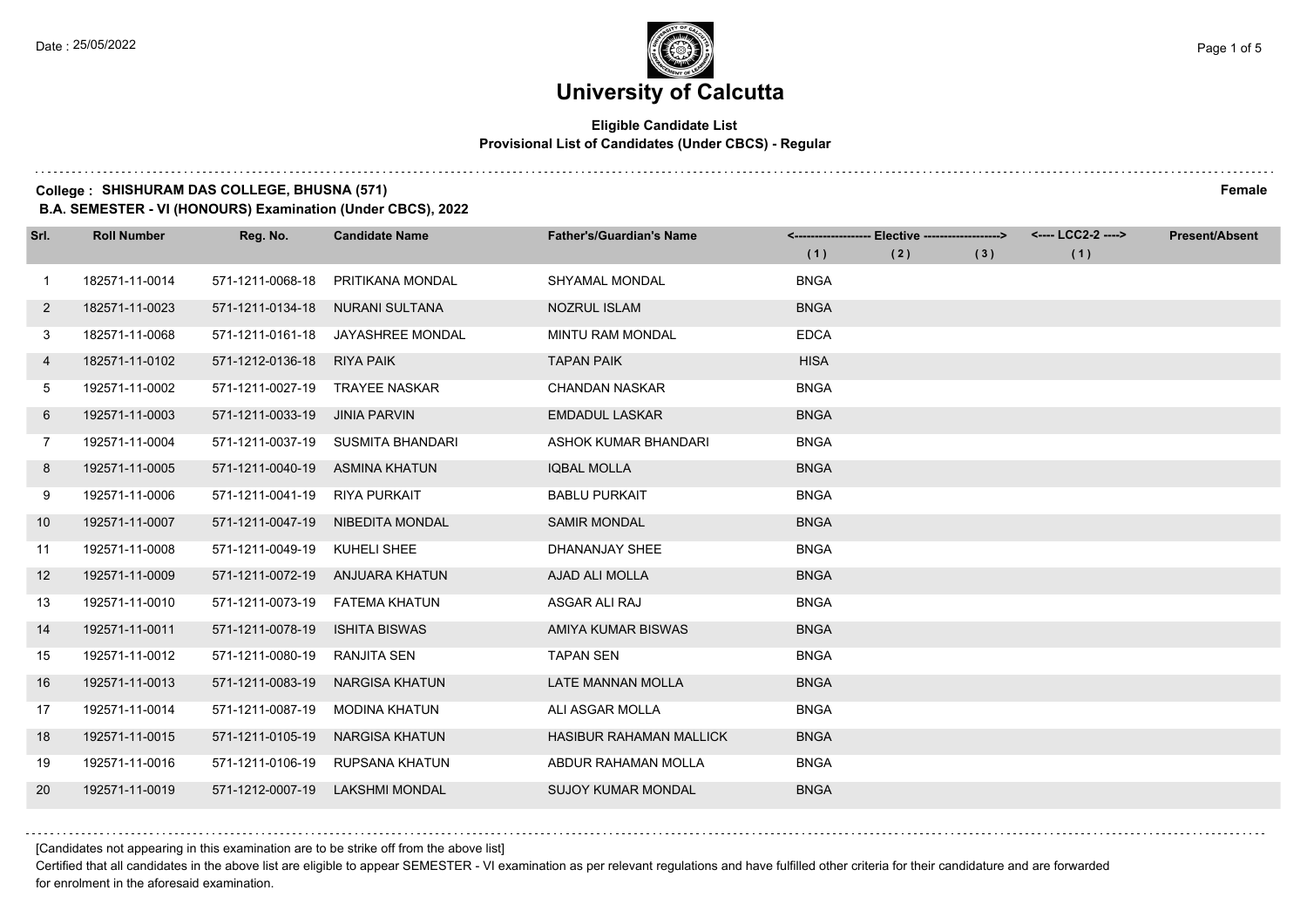#### **Eligible Candidate List Provisional List of Candidates (Under CBCS) - Regular**

### **College : SHISHURAM DAS COLLEGE, BHUSNA (571) Female**

**B.A. SEMESTER - VI (HONOURS) Examination (Under CBCS), 2022**

| Srl.           | <b>Roll Number</b> | Reg. No.                       | <b>Candidate Name</b>             | <b>Father's/Guardian's Name</b> |             | <------------------- Elective ------------------> |     | <---- LCC2-2 ----> | <b>Present/Absent</b> |
|----------------|--------------------|--------------------------------|-----------------------------------|---------------------------------|-------------|---------------------------------------------------|-----|--------------------|-----------------------|
|                |                    |                                |                                   |                                 | (1)         | (2)                                               | (3) | (1)                |                       |
| 1              | 182571-11-0014     | 571-1211-0068-18               | PRITIKANA MONDAL                  | <b>SHYAMAL MONDAL</b>           | <b>BNGA</b> |                                                   |     |                    |                       |
| $\mathbf{2}$   | 182571-11-0023     | 571-1211-0134-18               | <b>NURANI SULTANA</b>             | <b>NOZRUL ISLAM</b>             | <b>BNGA</b> |                                                   |     |                    |                       |
| 3              | 182571-11-0068     | 571-1211-0161-18               | JAYASHREE MONDAL                  | MINTU RAM MONDAL                | <b>EDCA</b> |                                                   |     |                    |                       |
| 4              | 182571-11-0102     | 571-1212-0136-18               | RIYA PAIK                         | <b>TAPAN PAIK</b>               | <b>HISA</b> |                                                   |     |                    |                       |
| 5              | 192571-11-0002     | 571-1211-0027-19               | <b>TRAYEE NASKAR</b>              | <b>CHANDAN NASKAR</b>           | <b>BNGA</b> |                                                   |     |                    |                       |
| 6              | 192571-11-0003     | 571-1211-0033-19               | <b>JINIA PARVIN</b>               | <b>EMDADUL LASKAR</b>           | <b>BNGA</b> |                                                   |     |                    |                       |
| $\overline{7}$ | 192571-11-0004     |                                | 571-1211-0037-19 SUSMITA BHANDARI | ASHOK KUMAR BHANDARI            | <b>BNGA</b> |                                                   |     |                    |                       |
| 8              | 192571-11-0005     | 571-1211-0040-19 ASMINA KHATUN |                                   | <b>IQBAL MOLLA</b>              | <b>BNGA</b> |                                                   |     |                    |                       |
| 9              | 192571-11-0006     | 571-1211-0041-19               | RIYA PURKAIT                      | <b>BABLU PURKAIT</b>            | <b>BNGA</b> |                                                   |     |                    |                       |
| 10             | 192571-11-0007     | 571-1211-0047-19               | NIBEDITA MONDAL                   | <b>SAMIR MONDAL</b>             | <b>BNGA</b> |                                                   |     |                    |                       |
| 11             | 192571-11-0008     | 571-1211-0049-19 KUHELI SHEE   |                                   | <b>DHANANJAY SHEE</b>           | <b>BNGA</b> |                                                   |     |                    |                       |
| 12             | 192571-11-0009     | 571-1211-0072-19               | ANJUARA KHATUN                    | AJAD ALI MOLLA                  | <b>BNGA</b> |                                                   |     |                    |                       |
| 13             | 192571-11-0010     | 571-1211-0073-19               | FATEMA KHATUN                     | ASGAR ALI RAJ                   | <b>BNGA</b> |                                                   |     |                    |                       |
| 14             | 192571-11-0011     | 571-1211-0078-19               | <b>ISHITA BISWAS</b>              | AMIYA KUMAR BISWAS              | <b>BNGA</b> |                                                   |     |                    |                       |
| 15             | 192571-11-0012     | 571-1211-0080-19               | <b>RANJITA SEN</b>                | <b>TAPAN SEN</b>                | <b>BNGA</b> |                                                   |     |                    |                       |
| 16             | 192571-11-0013     | 571-1211-0083-19               | <b>NARGISA KHATUN</b>             | <b>LATE MANNAN MOLLA</b>        | <b>BNGA</b> |                                                   |     |                    |                       |
| 17             | 192571-11-0014     | 571-1211-0087-19               | <b>MODINA KHATUN</b>              | ALI ASGAR MOLLA                 | <b>BNGA</b> |                                                   |     |                    |                       |
| 18             | 192571-11-0015     | 571-1211-0105-19               | <b>NARGISA KHATUN</b>             | <b>HASIBUR RAHAMAN MALLICK</b>  | <b>BNGA</b> |                                                   |     |                    |                       |
| 19             | 192571-11-0016     | 571-1211-0106-19               | RUPSANA KHATUN                    | ABDUR RAHAMAN MOLLA             | <b>BNGA</b> |                                                   |     |                    |                       |
| 20             | 192571-11-0019     | 571-1212-0007-19               | LAKSHMI MONDAL                    | <b>SUJOY KUMAR MONDAL</b>       | <b>BNGA</b> |                                                   |     |                    |                       |

[Candidates not appearing in this examination are to be strike off from the above list]

Certified that all candidates in the above list are eligible to appear SEMESTER - VI examination as per relevant regulations and have fulfilled other criteria for their candidature and are forwarded for enrolment in the aforesaid examination.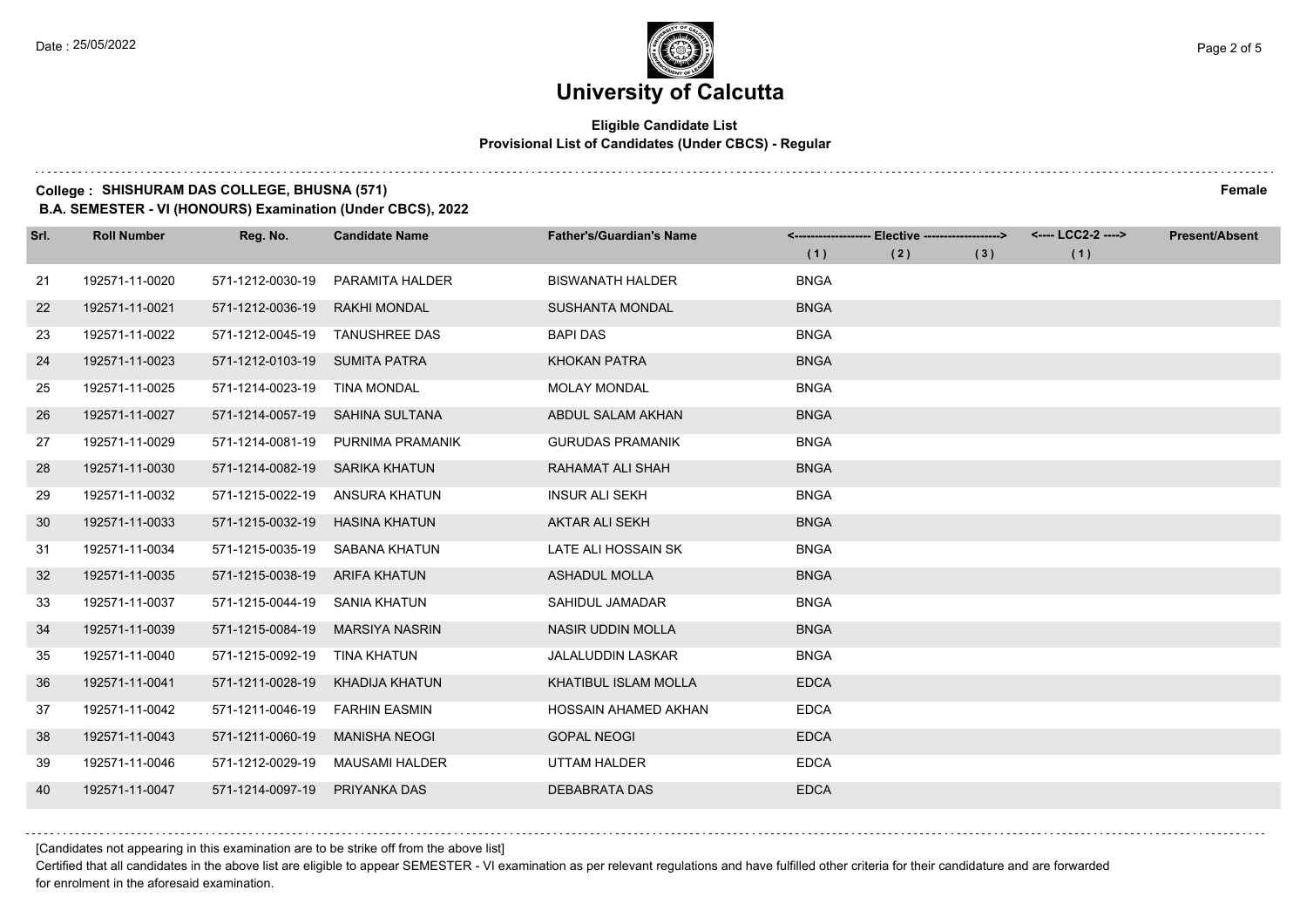#### **Eligible Candidate List Provisional List of Candidates (Under CBCS) - Regular**

### **College : SHISHURAM DAS COLLEGE, BHUSNA (571) Female**

**B.A. SEMESTER - VI (HONOURS) Examination (Under CBCS), 2022**

| Srl. | <b>Roll Number</b> | Reg. No.                      | <b>Candidate Name</b>             | <b>Father's/Guardian's Name</b> |             | <------------------- Elective -------------------> |     | <---- LCC2-2 ----> | <b>Present/Absent</b> |
|------|--------------------|-------------------------------|-----------------------------------|---------------------------------|-------------|----------------------------------------------------|-----|--------------------|-----------------------|
|      |                    |                               |                                   |                                 | (1)         | (2)                                                | (3) | (1)                |                       |
| 21   | 192571-11-0020     | 571-1212-0030-19              | PARAMITA HALDER                   | <b>BISWANATH HALDER</b>         | <b>BNGA</b> |                                                    |     |                    |                       |
| 22   | 192571-11-0021     | 571-1212-0036-19              | <b>RAKHI MONDAL</b>               | <b>SUSHANTA MONDAL</b>          | <b>BNGA</b> |                                                    |     |                    |                       |
| 23   | 192571-11-0022     | 571-1212-0045-19              | <b>TANUSHREE DAS</b>              | <b>BAPI DAS</b>                 | <b>BNGA</b> |                                                    |     |                    |                       |
| 24   | 192571-11-0023     | 571-1212-0103-19 SUMITA PATRA |                                   | <b>KHOKAN PATRA</b>             | <b>BNGA</b> |                                                    |     |                    |                       |
| 25   | 192571-11-0025     | 571-1214-0023-19              | <b>TINA MONDAL</b>                | <b>MOLAY MONDAL</b>             | <b>BNGA</b> |                                                    |     |                    |                       |
| 26   | 192571-11-0027     | 571-1214-0057-19              | SAHINA SULTANA                    | ABDUL SALAM AKHAN               | <b>BNGA</b> |                                                    |     |                    |                       |
| 27   | 192571-11-0029     |                               | 571-1214-0081-19 PURNIMA PRAMANIK | <b>GURUDAS PRAMANIK</b>         | <b>BNGA</b> |                                                    |     |                    |                       |
| 28   | 192571-11-0030     | 571-1214-0082-19              | SARIKA KHATUN                     | RAHAMAT ALI SHAH                | <b>BNGA</b> |                                                    |     |                    |                       |
| 29   | 192571-11-0032     | 571-1215-0022-19              | ANSURA KHATUN                     | <b>INSUR ALI SEKH</b>           | <b>BNGA</b> |                                                    |     |                    |                       |
| 30   | 192571-11-0033     | 571-1215-0032-19              | <b>HASINA KHATUN</b>              | <b>AKTAR ALI SEKH</b>           | <b>BNGA</b> |                                                    |     |                    |                       |
| -31  | 192571-11-0034     | 571-1215-0035-19              | SABANA KHATUN                     | LATE ALI HOSSAIN SK             | <b>BNGA</b> |                                                    |     |                    |                       |
| 32   | 192571-11-0035     | 571-1215-0038-19              | ARIFA KHATUN                      | <b>ASHADUL MOLLA</b>            | <b>BNGA</b> |                                                    |     |                    |                       |
| 33   | 192571-11-0037     | 571-1215-0044-19              | <b>SANIA KHATUN</b>               | SAHIDUL JAMADAR                 | <b>BNGA</b> |                                                    |     |                    |                       |
| 34   | 192571-11-0039     | 571-1215-0084-19              | <b>MARSIYA NASRIN</b>             | <b>NASIR UDDIN MOLLA</b>        | <b>BNGA</b> |                                                    |     |                    |                       |
| 35   | 192571-11-0040     | 571-1215-0092-19              | TINA KHATUN                       | <b>JALALUDDIN LASKAR</b>        | <b>BNGA</b> |                                                    |     |                    |                       |
| 36   | 192571-11-0041     | 571-1211-0028-19              | KHADIJA KHATUN                    | KHATIBUL ISLAM MOLLA            | <b>EDCA</b> |                                                    |     |                    |                       |
| 37   | 192571-11-0042     | 571-1211-0046-19              | <b>FARHIN EASMIN</b>              | HOSSAIN AHAMED AKHAN            | <b>EDCA</b> |                                                    |     |                    |                       |
| 38   | 192571-11-0043     | 571-1211-0060-19              | <b>MANISHA NEOGI</b>              | <b>GOPAL NEOGI</b>              | <b>EDCA</b> |                                                    |     |                    |                       |
| 39   | 192571-11-0046     | 571-1212-0029-19              | MAUSAMI HALDER                    | UTTAM HALDER                    | <b>EDCA</b> |                                                    |     |                    |                       |
| 40   | 192571-11-0047     | 571-1214-0097-19              | <b>PRIYANKA DAS</b>               | <b>DEBABRATA DAS</b>            | <b>EDCA</b> |                                                    |     |                    |                       |

[Candidates not appearing in this examination are to be strike off from the above list]

Certified that all candidates in the above list are eligible to appear SEMESTER - VI examination as per relevant regulations and have fulfilled other criteria for their candidature and are forwarded for enrolment in the aforesaid examination.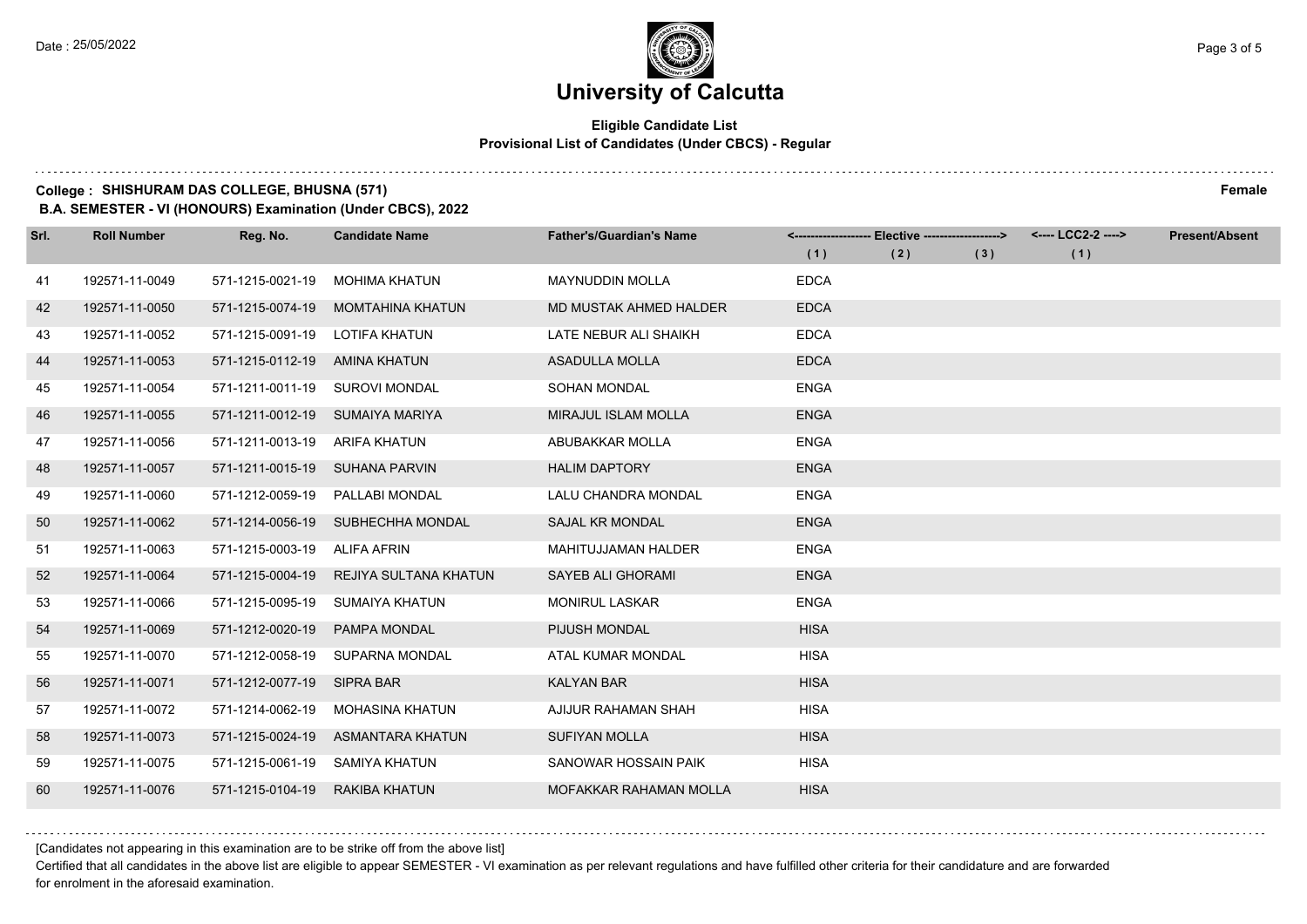#### **Eligible Candidate List Provisional List of Candidates (Under CBCS) - Regular**

#### **College : SHISHURAM DAS COLLEGE, BHUSNA (571) Female**

**B.A. SEMESTER - VI (HONOURS) Examination (Under CBCS), 2022**

| Srl. | <b>Roll Number</b> | Reg. No.                       | <b>Candidate Name</b>   | <b>Father's/Guardian's Name</b> |             | <------------------- Elective -------------------> |     | <---- LCC2-2 ----> | <b>Present/Absent</b> |
|------|--------------------|--------------------------------|-------------------------|---------------------------------|-------------|----------------------------------------------------|-----|--------------------|-----------------------|
|      |                    |                                |                         |                                 | (1)         | (2)                                                | (3) | (1)                |                       |
| 41   | 192571-11-0049     | 571-1215-0021-19               | <b>MOHIMA KHATUN</b>    | <b>MAYNUDDIN MOLLA</b>          | <b>EDCA</b> |                                                    |     |                    |                       |
| 42   | 192571-11-0050     | 571-1215-0074-19               | <b>MOMTAHINA KHATUN</b> | MD MUSTAK AHMED HALDER          | <b>EDCA</b> |                                                    |     |                    |                       |
| 43   | 192571-11-0052     | 571-1215-0091-19               | LOTIFA KHATUN           | LATE NEBUR ALI SHAIKH           | <b>EDCA</b> |                                                    |     |                    |                       |
| 44   | 192571-11-0053     | 571-1215-0112-19               | AMINA KHATUN            | <b>ASADULLA MOLLA</b>           | <b>EDCA</b> |                                                    |     |                    |                       |
| 45   | 192571-11-0054     | 571-1211-0011-19               | <b>SUROVI MONDAL</b>    | <b>SOHAN MONDAL</b>             | <b>ENGA</b> |                                                    |     |                    |                       |
| 46   | 192571-11-0055     | 571-1211-0012-19               | SUMAIYA MARIYA          | <b>MIRAJUL ISLAM MOLLA</b>      | <b>ENGA</b> |                                                    |     |                    |                       |
| 47   | 192571-11-0056     | 571-1211-0013-19 ARIFA KHATUN  |                         | ABUBAKKAR MOLLA                 | <b>ENGA</b> |                                                    |     |                    |                       |
| 48   | 192571-11-0057     | 571-1211-0015-19 SUHANA PARVIN |                         | <b>HALIM DAPTORY</b>            | <b>ENGA</b> |                                                    |     |                    |                       |
| 49   | 192571-11-0060     | 571-1212-0059-19               | PALLABI MONDAL          | LALU CHANDRA MONDAL             | <b>ENGA</b> |                                                    |     |                    |                       |
| 50   | 192571-11-0062     | 571-1214-0056-19               | SUBHECHHA MONDAL        | SAJAL KR MONDAL                 | <b>ENGA</b> |                                                    |     |                    |                       |
| 51   | 192571-11-0063     | 571-1215-0003-19 ALIFA AFRIN   |                         | <b>MAHITUJJAMAN HALDER</b>      | <b>ENGA</b> |                                                    |     |                    |                       |
| 52   | 192571-11-0064     | 571-1215-0004-19               | REJIYA SULTANA KHATUN   | <b>SAYEB ALI GHORAMI</b>        | <b>ENGA</b> |                                                    |     |                    |                       |
| 53   | 192571-11-0066     | 571-1215-0095-19               | SUMAIYA KHATUN          | <b>MONIRUL LASKAR</b>           | <b>ENGA</b> |                                                    |     |                    |                       |
| 54   | 192571-11-0069     | 571-1212-0020-19               | <b>PAMPA MONDAL</b>     | PIJUSH MONDAL                   | <b>HISA</b> |                                                    |     |                    |                       |
| 55   | 192571-11-0070     | 571-1212-0058-19               | SUPARNA MONDAL          | ATAL KUMAR MONDAL               | <b>HISA</b> |                                                    |     |                    |                       |
| 56   | 192571-11-0071     | 571-1212-0077-19               | SIPRA BAR               | <b>KALYAN BAR</b>               | <b>HISA</b> |                                                    |     |                    |                       |
| 57   | 192571-11-0072     | 571-1214-0062-19               | <b>MOHASINA KHATUN</b>  | AJIJUR RAHAMAN SHAH             | <b>HISA</b> |                                                    |     |                    |                       |
| 58   | 192571-11-0073     | 571-1215-0024-19               | ASMANTARA KHATUN        | <b>SUFIYAN MOLLA</b>            | <b>HISA</b> |                                                    |     |                    |                       |
| 59   | 192571-11-0075     | 571-1215-0061-19               | SAMIYA KHATUN           | SANOWAR HOSSAIN PAIK            | <b>HISA</b> |                                                    |     |                    |                       |
| 60   | 192571-11-0076     | 571-1215-0104-19               | RAKIBA KHATUN           | MOFAKKAR RAHAMAN MOLLA          | <b>HISA</b> |                                                    |     |                    |                       |

[Candidates not appearing in this examination are to be strike off from the above list]

Certified that all candidates in the above list are eligible to appear SEMESTER - VI examination as per relevant regulations and have fulfilled other criteria for their candidature and are forwarded for enrolment in the aforesaid examination.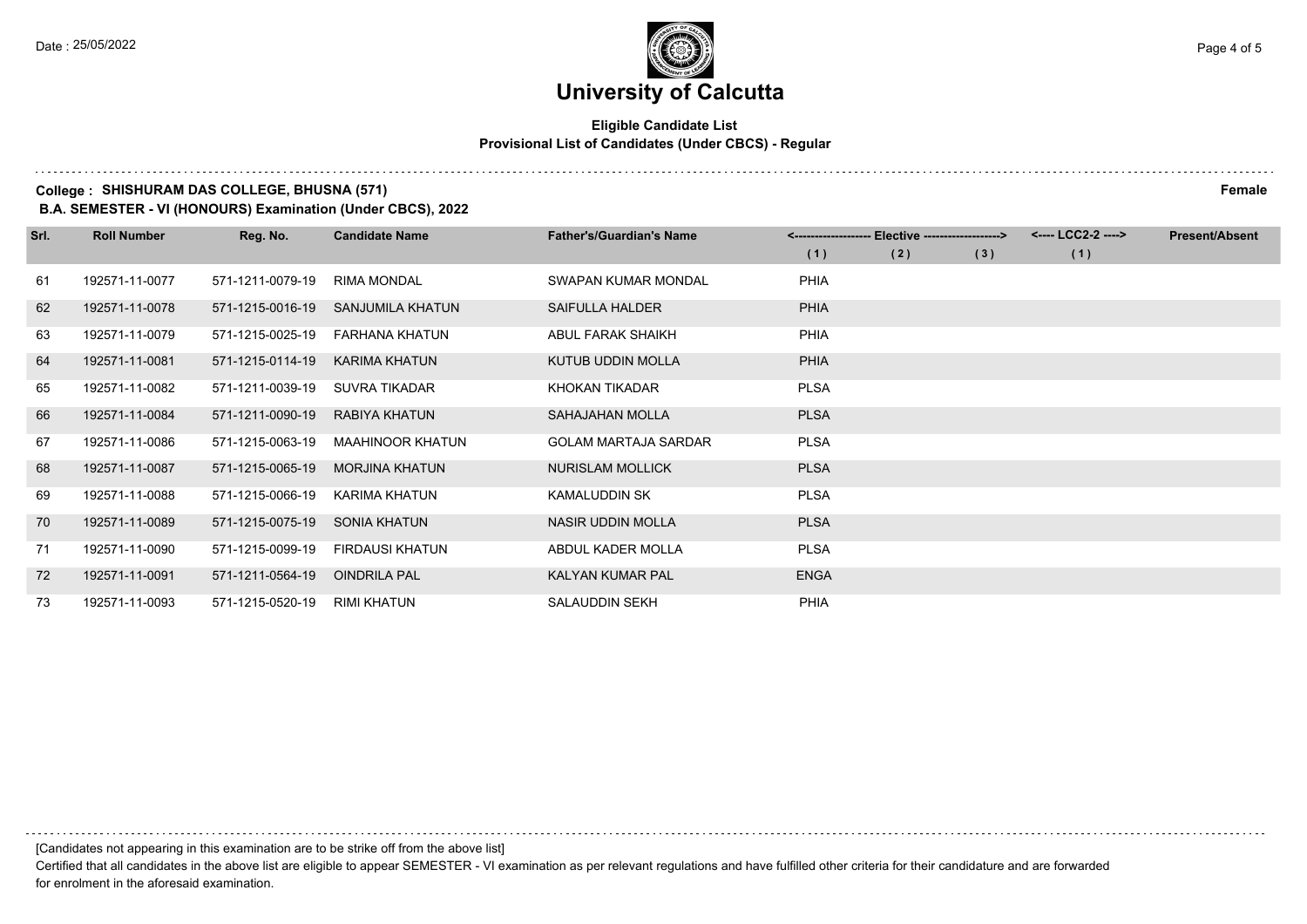#### **Eligible Candidate List Provisional List of Candidates (Under CBCS) - Regular**

#### **College : SHISHURAM DAS COLLEGE, BHUSNA (571) Female**

**B.A. SEMESTER - VI (HONOURS) Examination (Under CBCS), 2022**

| Srl. | <b>Roll Number</b> | Reg. No.         | <b>Candidate Name</b>   | <b>Father's/Guardian's Name</b> |             | <-------------------- Elective ------------------> |     | <---- LCC2-2 ----> | <b>Present/Absent</b> |
|------|--------------------|------------------|-------------------------|---------------------------------|-------------|----------------------------------------------------|-----|--------------------|-----------------------|
|      |                    |                  |                         |                                 | (1)         | (2)                                                | (3) | (1)                |                       |
| 61   | 192571-11-0077     | 571-1211-0079-19 | RIMA MONDAL             | SWAPAN KUMAR MONDAL             | <b>PHIA</b> |                                                    |     |                    |                       |
| 62   | 192571-11-0078     | 571-1215-0016-19 | SANJUMILA KHATUN        | <b>SAIFULLA HALDER</b>          | <b>PHIA</b> |                                                    |     |                    |                       |
| 63   | 192571-11-0079     | 571-1215-0025-19 | FARHANA KHATUN          | ABUL FARAK SHAIKH               | <b>PHIA</b> |                                                    |     |                    |                       |
| 64   | 192571-11-0081     | 571-1215-0114-19 | KARIMA KHATUN           | <b>KUTUB UDDIN MOLLA</b>        | <b>PHIA</b> |                                                    |     |                    |                       |
| 65   | 192571-11-0082     | 571-1211-0039-19 | SUVRA TIKADAR           | KHOKAN TIKADAR                  | <b>PLSA</b> |                                                    |     |                    |                       |
| 66   | 192571-11-0084     | 571-1211-0090-19 | RABIYA KHATUN           | SAHAJAHAN MOLLA                 | <b>PLSA</b> |                                                    |     |                    |                       |
| 67   | 192571-11-0086     | 571-1215-0063-19 | <b>MAAHINOOR KHATUN</b> | <b>GOLAM MARTAJA SARDAR</b>     | <b>PLSA</b> |                                                    |     |                    |                       |
| 68   | 192571-11-0087     | 571-1215-0065-19 | <b>MORJINA KHATUN</b>   | NURISLAM MOLLICK                | <b>PLSA</b> |                                                    |     |                    |                       |
| 69   | 192571-11-0088     | 571-1215-0066-19 | KARIMA KHATUN           | KAMALUDDIN SK                   | <b>PLSA</b> |                                                    |     |                    |                       |
| 70   | 192571-11-0089     | 571-1215-0075-19 | SONIA KHATUN            | NASIR UDDIN MOLLA               | <b>PLSA</b> |                                                    |     |                    |                       |
| 71   | 192571-11-0090     | 571-1215-0099-19 | <b>FIRDAUSI KHATUN</b>  | ABDUL KADER MOLLA               | <b>PLSA</b> |                                                    |     |                    |                       |
| 72   | 192571-11-0091     | 571-1211-0564-19 | <b>OINDRILA PAL</b>     | KALYAN KUMAR PAL                | <b>ENGA</b> |                                                    |     |                    |                       |
| 73   | 192571-11-0093     | 571-1215-0520-19 | RIMI KHATUN             | <b>SALAUDDIN SEKH</b>           | <b>PHIA</b> |                                                    |     |                    |                       |

[Candidates not appearing in this examination are to be strike off from the above list]

Certified that all candidates in the above list are eligible to appear SEMESTER - VI examination as per relevant regulations and have fulfilled other criteria for their candidature and are forwarded for enrolment in the aforesaid examination.